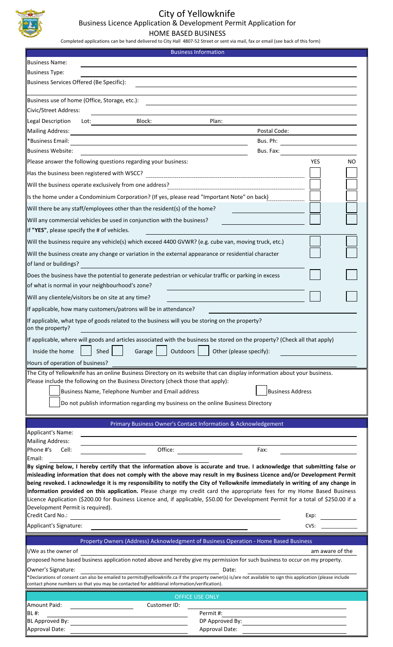

# City of Yellowknife

Business Licence Application & Development Permit Application for

HOME BASED BUSINESS

Completed applications can be hand delivered to City Hall 4807-52 Street or sent via mail, fax or email (see back of this form)

| <b>Business Information</b>                                                                                                                                                                                                                                                                                                                                                                                                                                                                                                                                                                                                                                                                                    |                         |  |  |
|----------------------------------------------------------------------------------------------------------------------------------------------------------------------------------------------------------------------------------------------------------------------------------------------------------------------------------------------------------------------------------------------------------------------------------------------------------------------------------------------------------------------------------------------------------------------------------------------------------------------------------------------------------------------------------------------------------------|-------------------------|--|--|
| <b>Business Name:</b>                                                                                                                                                                                                                                                                                                                                                                                                                                                                                                                                                                                                                                                                                          |                         |  |  |
| <b>Business Type:</b>                                                                                                                                                                                                                                                                                                                                                                                                                                                                                                                                                                                                                                                                                          |                         |  |  |
| Business Services Offered (Be Specific):                                                                                                                                                                                                                                                                                                                                                                                                                                                                                                                                                                                                                                                                       |                         |  |  |
| Business use of home (Office, Storage, etc.):                                                                                                                                                                                                                                                                                                                                                                                                                                                                                                                                                                                                                                                                  |                         |  |  |
| Civic/Street Address:                                                                                                                                                                                                                                                                                                                                                                                                                                                                                                                                                                                                                                                                                          |                         |  |  |
| Block:<br>Legal Description<br>Lot:<br>Plan:                                                                                                                                                                                                                                                                                                                                                                                                                                                                                                                                                                                                                                                                   |                         |  |  |
| <b>Mailing Address:</b>                                                                                                                                                                                                                                                                                                                                                                                                                                                                                                                                                                                                                                                                                        | Postal Code:            |  |  |
| <b>*Business Email:</b>                                                                                                                                                                                                                                                                                                                                                                                                                                                                                                                                                                                                                                                                                        | Bus. Ph:                |  |  |
| <b>Business Website:</b>                                                                                                                                                                                                                                                                                                                                                                                                                                                                                                                                                                                                                                                                                       | Bus. Fax:               |  |  |
| Please answer the following questions regarding your business:                                                                                                                                                                                                                                                                                                                                                                                                                                                                                                                                                                                                                                                 | <b>YES</b><br>NO        |  |  |
|                                                                                                                                                                                                                                                                                                                                                                                                                                                                                                                                                                                                                                                                                                                |                         |  |  |
| Will the business operate exclusively from one address?                                                                                                                                                                                                                                                                                                                                                                                                                                                                                                                                                                                                                                                        |                         |  |  |
| Is the home under a Condominium Corporation? (If yes, please read "Important Note" on back)                                                                                                                                                                                                                                                                                                                                                                                                                                                                                                                                                                                                                    |                         |  |  |
| Will there be any staff/employees other than the resident(s) of the home?                                                                                                                                                                                                                                                                                                                                                                                                                                                                                                                                                                                                                                      |                         |  |  |
| Will any commercial vehicles be used in conjunction with the business?                                                                                                                                                                                                                                                                                                                                                                                                                                                                                                                                                                                                                                         |                         |  |  |
| If "YES", please specify the # of vehicles.                                                                                                                                                                                                                                                                                                                                                                                                                                                                                                                                                                                                                                                                    |                         |  |  |
|                                                                                                                                                                                                                                                                                                                                                                                                                                                                                                                                                                                                                                                                                                                |                         |  |  |
| Will the business require any vehicle(s) which exceed 4400 GVWR? (e.g. cube van, moving truck, etc.)                                                                                                                                                                                                                                                                                                                                                                                                                                                                                                                                                                                                           |                         |  |  |
| Will the business create any change or variation in the external appearance or residential character<br>of land or buildings?                                                                                                                                                                                                                                                                                                                                                                                                                                                                                                                                                                                  |                         |  |  |
| Does the business have the potential to generate pedestrian or vehicular traffic or parking in excess                                                                                                                                                                                                                                                                                                                                                                                                                                                                                                                                                                                                          |                         |  |  |
| of what is normal in your neighbourhood's zone?                                                                                                                                                                                                                                                                                                                                                                                                                                                                                                                                                                                                                                                                |                         |  |  |
| Will any clientele/visitors be on site at any time?                                                                                                                                                                                                                                                                                                                                                                                                                                                                                                                                                                                                                                                            |                         |  |  |
| If applicable, how many customers/patrons will be in attendance?                                                                                                                                                                                                                                                                                                                                                                                                                                                                                                                                                                                                                                               |                         |  |  |
| If applicable, what type of goods related to the business will you be storing on the property?<br>on the property?                                                                                                                                                                                                                                                                                                                                                                                                                                                                                                                                                                                             |                         |  |  |
| If applicable, where will goods and articles associated with the business be stored on the property? (Check all that apply)                                                                                                                                                                                                                                                                                                                                                                                                                                                                                                                                                                                    |                         |  |  |
| Outdoors<br>Shed<br>Inside the home<br>Garage                                                                                                                                                                                                                                                                                                                                                                                                                                                                                                                                                                                                                                                                  | Other (please specify): |  |  |
| Hours of operation of business?                                                                                                                                                                                                                                                                                                                                                                                                                                                                                                                                                                                                                                                                                |                         |  |  |
| The City of Yellowknife has an online Business Directory on its website that can display information about your business.<br>Please include the following on the Business Directory (check those that apply):                                                                                                                                                                                                                                                                                                                                                                                                                                                                                                  |                         |  |  |
| <b>Business Address</b><br>Business Name, Telephone Number and Email address                                                                                                                                                                                                                                                                                                                                                                                                                                                                                                                                                                                                                                   |                         |  |  |
| Do not publish information regarding my business on the online Business Directory                                                                                                                                                                                                                                                                                                                                                                                                                                                                                                                                                                                                                              |                         |  |  |
| Primary Business Owner's Contact Information & Acknowledgement                                                                                                                                                                                                                                                                                                                                                                                                                                                                                                                                                                                                                                                 |                         |  |  |
| Applicant's Name:                                                                                                                                                                                                                                                                                                                                                                                                                                                                                                                                                                                                                                                                                              |                         |  |  |
| Mailing Address:<br>Phone #'s<br>Office:<br>Cell:                                                                                                                                                                                                                                                                                                                                                                                                                                                                                                                                                                                                                                                              | Fax:                    |  |  |
| Email:                                                                                                                                                                                                                                                                                                                                                                                                                                                                                                                                                                                                                                                                                                         |                         |  |  |
| By signing below, I hereby certify that the information above is accurate and true. I acknowledge that submitting false or<br>misleading information that does not comply with the above may result in my Business Licence and/or Development Permit<br>being revoked. I acknowledge it is my responsibility to notify the City of Yellowknife immediately in writing of any change in<br>information provided on this application. Please charge my credit card the appropriate fees for my Home Based Business<br>Licence Application (\$200.00 for Business Licence and, if applicable, \$50.00 for Development Permit for a total of \$250.00 if a<br>Development Permit is required).<br>Credit Card No.: | Exp:                    |  |  |
| Applicant's Signature:                                                                                                                                                                                                                                                                                                                                                                                                                                                                                                                                                                                                                                                                                         | CVS:                    |  |  |
| Property Owners (Address) Acknowledgment of Business Operation - Home Based Business                                                                                                                                                                                                                                                                                                                                                                                                                                                                                                                                                                                                                           |                         |  |  |
| I/We as the owner of                                                                                                                                                                                                                                                                                                                                                                                                                                                                                                                                                                                                                                                                                           | am aware of the         |  |  |
| proposed home based business application noted above and hereby give my permission for such business to occur on my property.                                                                                                                                                                                                                                                                                                                                                                                                                                                                                                                                                                                  |                         |  |  |
| Owner's Signature:<br>Date:<br>*Declarations of consent can also be emailed to permits@yellowknife.ca if the property owner(s) is/are not available to sign this application (please include<br>contact phone numbers so that you may be contacted for additional information/verification).                                                                                                                                                                                                                                                                                                                                                                                                                   |                         |  |  |
| <b>OFFICE USE ONLY</b>                                                                                                                                                                                                                                                                                                                                                                                                                                                                                                                                                                                                                                                                                         |                         |  |  |
| Amount Paid:<br>Customer ID:                                                                                                                                                                                                                                                                                                                                                                                                                                                                                                                                                                                                                                                                                   |                         |  |  |
| Permit#:<br>BL#:                                                                                                                                                                                                                                                                                                                                                                                                                                                                                                                                                                                                                                                                                               |                         |  |  |
| BL Approved By:<br>DP Approved By:<br>Approval Date:<br>Approval Date:                                                                                                                                                                                                                                                                                                                                                                                                                                                                                                                                                                                                                                         |                         |  |  |
|                                                                                                                                                                                                                                                                                                                                                                                                                                                                                                                                                                                                                                                                                                                |                         |  |  |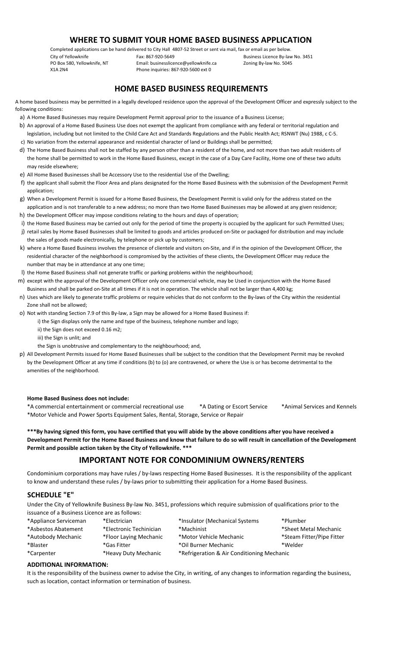## **WHERE TO SUBMIT YOUR HOME BASED BUSINESS APPLICATION**

Completed applications can be hand delivered to City Hall 4807-52 Street or sent via mail, fax or email as per below.

City of Yellowknife Fax: 867-920-5649 Business Licence By-law No. 3451 PO Box 580, Yellowknife, NT Email: businesslicence@yellowknife.ca Zoning By-law No. 5045<br>
2014 X1A 2N4 State Phone inquiries: 867-920-5600 ext 0 Phone inquiries: 867-920-5600 ext 0

# **HOME BASED BUSINESS REQUIREMENTS**

A home based business may be permitted in a legally developed residence upon the approval of the Development Officer and expressly subject to the following conditions:

- a) A Home Based Businesses may require Development Permit approval prior to the issuance of a Business License;
- b) An approval of a Home Based Business Use does not exempt the applicant from compliance with any federal or territorial regulation and c) No variation from the external appearance and residential character of land or Buildings shall be permitted;legislation, including but not limited to the Child Care Act and Standards Regulations and the Public Health Act; RSNWT (Nu) 1988, c C-5.
- d) The Home Based Business shall not be staffed by any person other than a resident of the home, and not more than two adult residents of the home shall be permitted to work in the Home Based Business, except in the case of a Day Care Facility, Home one of these two adults may reside elsewhere;
- e) All Home Based Businesses shall be Accessory Use to the residential Use of the Dwelling;
- f) the applicant shall submit the Floor Area and plans designated for the Home Based Business with the submission of the Development Permit application;
- g) When a Development Permit is issued for a Home Based Business, the Development Permit is valid only for the address stated on the application and is not transferable to a new address; no more than two Home Based Businesses may be allowed at any given residence;
- h) the Development Officer may impose conditions relating to the hours and days of operation;
- i) the Home Based Business may be carried out only for the period of time the property is occupied by the applicant for such Permitted Uses;
- j) retail sales by Home Based Businesses shall be limited to goods and articles produced on-Site or packaged for distribution and may include the sales of goods made electronically, by telephone or pick up by customers;
- k) where a Home Based Business involves the presence of clientele and visitors on-Site, and if in the opinion of the Development Officer, the residential character of the neighborhood is compromised by the activities of these clients, the Development Officer may reduce the number that may be in attendance at any one time;
- l) the Home Based Business shall not generate traffic or parking problems within the neighbourhood;
- m) except with the approval of the Development Officer only one commercial vehicle, may be Used in conjunction with the Home Based Business and shall be parked on-Site at all times if it is not in operation. The vehicle shall not be larger than 4,400 kg;
- n) Uses which are likely to generate traffic problems or require vehicles that do not conform to the By-laws of the City within the residential Zone shall not be allowed;
- o) Not with standing Section 7.9 of this By-law, a Sign may be allowed for a Home Based Business if:
	- i) the Sign displays only the name and type of the business, telephone number and logo;
	- ii) the Sign does not exceed 0.16 m2;
	- iii) the Sign is unlit; and
	- the Sign is unobtrusive and complementary to the neighbourhood; and,
- p) All Development Permits issued for Home Based Businesses shall be subject to the condition that the Development Permit may be revoked by the Development Officer at any time if conditions (b) to (o) are contravened, or where the Use is or has become detrimental to the amenities of the neighborhood.

#### **Home Based Business does not include:**

\*A commercial entertainment or commercial recreational use \*A Dating or Escort Service \*Animal Services and Kennels \*Motor Vehicle and Power Sports Equipment Sales, Rental, Storage, Service or Repair

**\*\*\*By having signed this form, you have certified that you will abide by the above conditions after you have received a Development Permit for the Home Based Business and know that failure to do so will result in cancellation of the Development Permit and possible action taken by the City of Yellowknife. \*\*\***

### **IMPORTANT NOTE FOR CONDOMINIUM OWNERS/RENTERS**

Condominium corporations may have rules / by-laws respecting Home Based Businesses. It is the responsibility of the applicant to know and understand these rules / by-laws prior to submitting their application for a Home Based Business.

#### **SCHEDULE "E"**

Under the City of Yellowknife Business By-law No. 3451, professions which require submission of qualifications prior to the issuance of a Business Licence are as follows:

| *Appliance Serviceman | *Electrician            | *Insulator (Mechanical Systems)            | *Plumber                  |
|-----------------------|-------------------------|--------------------------------------------|---------------------------|
| *Asbestos Abatement   | *Electronic Techinician | *Machinist                                 | *Sheet Metal Mechanic     |
| *Autobody Mechanic    | *Floor Laying Mechanic  | *Motor Vehicle Mechanic                    | *Steam Fitter/Pipe Fitter |
| *Blaster              | *Gas Fitter             | *Oil Burner Mechanic                       | *Welder                   |
| *Carpenter            | *Heavy Duty Mechanic    | *Refrigeration & Air Conditioning Mechanic |                           |

#### **ADDITIONAL INFORMATION:**

It is the responsibility of the business owner to advise the City, in writing, of any changes to information regarding the business, such as location, contact information or termination of business.